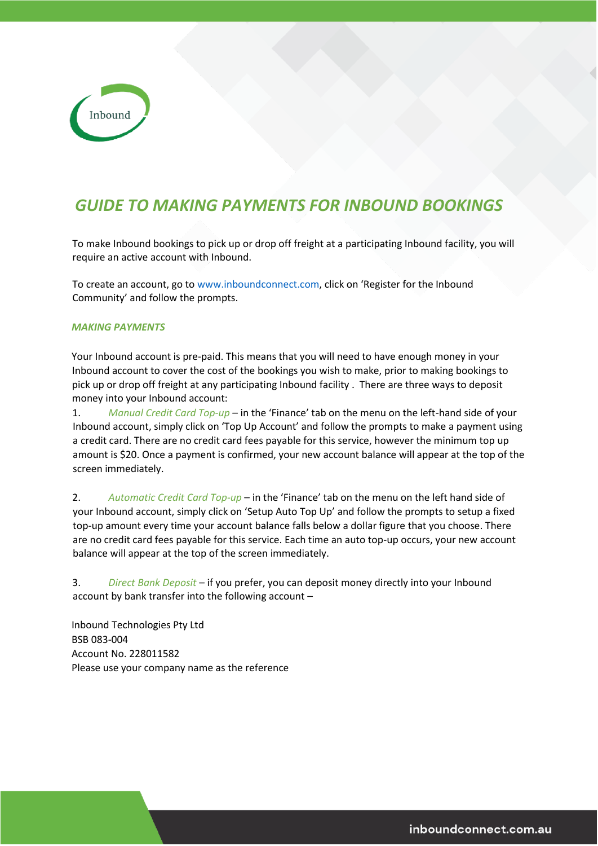

# *GUIDE TO MAKING PAYMENTS FOR INBOUND BOOKINGS*

To make Inbound bookings to pick up or drop off freight at a participating Inbound facility, you will require an active account with Inbound.

To create an account, go to www.inboundconnect.com, click on 'Register for the Inbound Community' and follow the prompts.

#### *MAKING PAYMENTS*

Your Inbound account is pre-paid. This means that you will need to have enough money in your Inbound account to cover the cost of the bookings you wish to make, prior to making bookings to pick up or drop off freight at any participating Inbound facility . There are three ways to deposit money into your Inbound account:

1. *Manual Credit Card Top-up* – in the 'Finance' tab on the menu on the left-hand side of your Inbound account, simply click on 'Top Up Account' and follow the prompts to make a payment using a credit card. There are no credit card fees payable for this service, however the minimum top up amount is \$20. Once a payment is confirmed, your new account balance will appear at the top of the screen immediately.

2. *Automatic Credit Card Top-up* – in the 'Finance' tab on the menu on the left hand side of your Inbound account, simply click on 'Setup Auto Top Up' and follow the prompts to setup a fixed top-up amount every time your account balance falls below a dollar figure that you choose. There are no credit card fees payable for this service. Each time an auto top-up occurs, your new account balance will appear at the top of the screen immediately.

3. *Direct Bank Deposit* – if you prefer, you can deposit money directly into your Inbound account by bank transfer into the following account –

Inbound Technologies Pty Ltd BSB 083-004 Account No. 228011582 Please use your company name as the reference